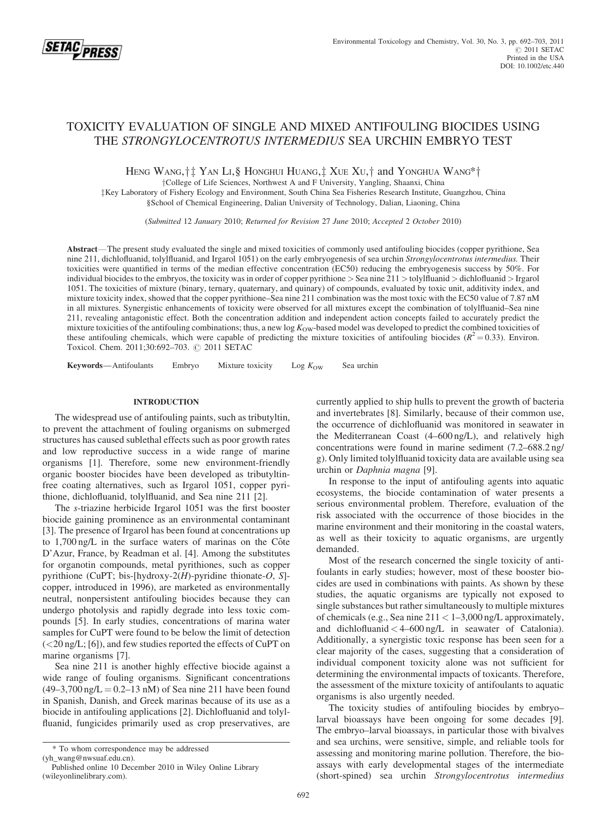

# TOXICITY EVALUATION OF SINGLE AND MIXED ANTIFOULING BIOCIDES USING THE STRONGYLOCENTROTUS INTERMEDIUS SEA URCHIN EMBRYO TEST

HENG WANG,  $\dagger$  YAN LI, § HONGHUI HUANG,  $\ddagger$  XUE XU,  $\dagger$  and YONGHUA WANG\* $\dagger$ 

yCollege of Life Sciences, Northwest A and F University, Yangling, Shaanxi, China

 $\frac{1}{K}$ Key Laboratory of Fishery Ecology and Environment, South China Sea Fisheries Research Institute, Guangzhou, China

§School of Chemical Engineering, Dalian University of Technology, Dalian, Liaoning, China

(Submitted 12 January 2010; Returned for Revision 27 June 2010; Accepted 2 October 2010)

Abstract—The present study evaluated the single and mixed toxicities of commonly used antifouling biocides (copper pyrithione, Sea nine 211, dichlofluanid, tolylfluanid, and Irgarol 1051) on the early embryogenesis of sea urchin Strongylocentrotus intermedius. Their toxicities were quantified in terms of the median effective concentration (EC50) reducing the embryogenesis success by 50%. For individual biocides to the embryos, the toxicity was in order of copper pyrithione  $>$  Sea nine  $\overline{2}11$   $>$  tolylfluanid  $>$  dichlofluanid  $>$  Irgarol 1051. The toxicities of mixture (binary, ternary, quaternary, and quinary) of compounds, evaluated by toxic unit, additivity index, and mixture toxicity index, showed that the copper pyrithione–Sea nine 211 combination was the most toxic with the EC50 value of 7.87 nM in all mixtures. Synergistic enhancements of toxicity were observed for all mixtures except the combination of tolylfluanid–Sea nine 211, revealing antagonistic effect. Both the concentration addition and independent action concepts failed to accurately predict the mixture toxicities of the antifouling combinations; thus, a new log  $K_{\rm OW}$ -based model was developed to predict the combined toxicities of these antifouling chemicals, which were capable of predicting the mixture toxicities of antifouling biocides ( $R^2$  = 0.33). Environ. Toxicol. Chem. 2011;30:692-703. © 2011 SETAC

**Keywords**—Antifoulants Embryo Mixture toxicity  $\text{Log } K_{\text{OW}}$  Sea urchin

## INTRODUCTION

The widespread use of antifouling paints, such as tributyltin, to prevent the attachment of fouling organisms on submerged structures has caused sublethal effects such as poor growth rates and low reproductive success in a wide range of marine organisms [1]. Therefore, some new environment-friendly organic booster biocides have been developed as tributyltinfree coating alternatives, such as Irgarol 1051, copper pyrithione, dichlofluanid, tolylfluanid, and Sea nine 211 [2].

The s-triazine herbicide Irgarol 1051 was the first booster biocide gaining prominence as an environmental contaminant [3]. The presence of Irgarol has been found at concentrations up to  $1,700$  ng/L in the surface waters of marinas on the Côte D'Azur, France, by Readman et al. [4]. Among the substitutes for organotin compounds, metal pyrithiones, such as copper pyrithione (CuPT; bis-[hydroxy-2(H)-pyridine thionate-O,  $S$ ]copper, introduced in 1996), are marketed as environmentally neutral, nonpersistent antifouling biocides because they can undergo photolysis and rapidly degrade into less toxic compounds [5]. In early studies, concentrations of marina water samples for CuPT were found to be below the limit of detection (<20 ng/L; [6]), and few studies reported the effects of CuPT on marine organisms [7].

Sea nine 211 is another highly effective biocide against a wide range of fouling organisms. Significant concentrations  $(49-3,700 \text{ ng/L} = 0.2-13 \text{ nM})$  of Sea nine 211 have been found in Spanish, Danish, and Greek marinas because of its use as a biocide in antifouling applications [2]. Dichlofluanid and tolylfluanid, fungicides primarily used as crop preservatives, are

currently applied to ship hulls to prevent the growth of bacteria and invertebrates [8]. Similarly, because of their common use, the occurrence of dichlofluanid was monitored in seawater in the Mediterranean Coast (4–600 ng/L), and relatively high concentrations were found in marine sediment (7.2–688.2 ng/ g). Only limited tolylfluanid toxicity data are available using sea urchin or Daphnia magna [9].

In response to the input of antifouling agents into aquatic ecosystems, the biocide contamination of water presents a serious environmental problem. Therefore, evaluation of the risk associated with the occurrence of those biocides in the marine environment and their monitoring in the coastal waters, as well as their toxicity to aquatic organisms, are urgently demanded.

Most of the research concerned the single toxicity of antifoulants in early studies; however, most of these booster biocides are used in combinations with paints. As shown by these studies, the aquatic organisms are typically not exposed to single substances but rather simultaneously to multiple mixtures of chemicals (e.g., Sea nine  $211 < 1-3,000$  ng/L approximately, and dichlofluanid < 4–600 ng/L in seawater of Catalonia). Additionally, a synergistic toxic response has been seen for a clear majority of the cases, suggesting that a consideration of individual component toxicity alone was not sufficient for determining the environmental impacts of toxicants. Therefore, the assessment of the mixture toxicity of antifoulants to aquatic organisms is also urgently needed.

The toxicity studies of antifouling biocides by embryo– larval bioassays have been ongoing for some decades [9]. The embryo–larval bioassays, in particular those with bivalves and sea urchins, were sensitive, simple, and reliable tools for assessing and monitoring marine pollution. Therefore, the bioassays with early developmental stages of the intermediate (short-spined) sea urchin Strongylocentrotus intermedius

<sup>\*</sup> To whom correspondence may be addressed

<sup>(</sup>yh\_wang@nwsuaf.edu.cn).

Published online 10 December 2010 in Wiley Online Library (wileyonlinelibrary.com).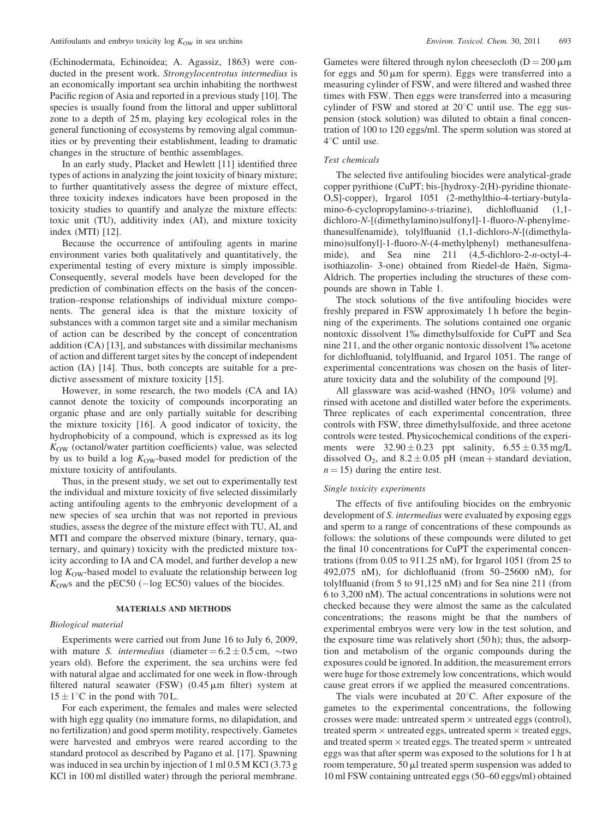(Echinodermata, Echinoidea; A. Agassiz, 1863) were conducted in the present work. Strongylocentrotus intermedius is an economically important sea urchin inhabiting the northwest Pacific region of Asia and reported in a previous study [10]. The species is usually found from the littoral and upper sublittoral zone to a depth of 25 m, playing key ecological roles in the general functioning of ecosystems by removing algal communities or by preventing their establishment, leading to dramatic changes in the structure of benthic assemblages.

In an early study, Placket and Hewlett [11] identified three types of actions in analyzing the joint toxicity of binary mixture; to further quantitatively assess the degree of mixture effect, three toxicity indexes indicators have been proposed in the toxicity studies to quantify and analyze the mixture effects: toxic unit (TU), additivity index (AI), and mixture toxicity index (MTI) [12].

Because the occurrence of antifouling agents in marine environment varies both qualitatively and quantitatively, the experimental testing of every mixture is simply impossible. Consequently, several models have been developed for the prediction of combination effects on the basis of the concentration–response relationships of individual mixture components. The general idea is that the mixture toxicity of substances with a common target site and a similar mechanism of action can be described by the concept of concentration addition (CA) [13], and substances with dissimilar mechanisms of action and different target sites by the concept of independent action (IA) [14]. Thus, both concepts are suitable for a predictive assessment of mixture toxicity [15].

However, in some research, the two models (CA and IA) cannot denote the toxicity of compounds incorporating an organic phase and are only partially suitable for describing the mixture toxicity [16]. A good indicator of toxicity, the hydrophobicity of a compound, which is expressed as its log  $K<sub>OW</sub>$  (octanol/water partition coefficients) value, was selected by us to build a log  $K<sub>OW</sub>$ -based model for prediction of the mixture toxicity of antifoulants.

Thus, in the present study, we set out to experimentally test the individual and mixture toxicity of five selected dissimilarly acting antifouling agents to the embryonic development of a new species of sea urchin that was not reported in previous studies, assess the degree of the mixture effect with TU, AI, and MTI and compare the observed mixture (binary, ternary, quaternary, and quinary) toxicity with the predicted mixture toxicity according to IA and CA model, and further develop a new  $log K<sub>OW</sub>$ -based model to evaluate the relationship between log  $K<sub>OW</sub>$ s and the pEC50 ( $-\log$  EC50) values of the biocides.

## MATERIALS AND METHODS

### Biological material

Experiments were carried out from June 16 to July 6, 2009, with mature S. intermedius (diameter  $= 6.2 \pm 0.5$  cm,  $\sim$ two years old). Before the experiment, the sea urchins were fed with natural algae and acclimated for one week in flow-through filtered natural seawater (FSW)  $(0.45 \,\mu\text{m})$  filter) system at  $15 \pm 1$ °C in the pond with 70 L.

For each experiment, the females and males were selected with high egg quality (no immature forms, no dilapidation, and no fertilization) and good sperm motility, respectively. Gametes were harvested and embryos were reared according to the standard protocol as described by Pagano et al. [17]. Spawning was induced in sea urchin by injection of 1 ml 0.5 M KCl (3.73 g KCl in 100 ml distilled water) through the perioral membrane. Gametes were filtered through nylon cheesecloth ( $D = 200 \mu m$ for eggs and  $50 \mu m$  for sperm). Eggs were transferred into a measuring cylinder of FSW, and were filtered and washed three times with FSW. Then eggs were transferred into a measuring cylinder of FSW and stored at  $20^{\circ}$ C until use. The egg suspension (stock solution) was diluted to obtain a final concentration of 100 to 120 eggs/ml. The sperm solution was stored at  $4^{\circ}$ C until use.

#### Test chemicals

The selected five antifouling biocides were analytical-grade copper pyrithione (CuPT; bis-[hydroxy-2(H)-pyridine thionate-O,S]-copper), Irgarol 1051 (2-methylthio-4-tertiary-butylamino-6-cyclopropylamino-s-triazine), dichlofluanid (1,1 dichloro-N-[(dimethylamino)sulfonyl]-1-fluoro-N-phenylmethanesulfenamide), tolylfluanid (1,1-dichloro-N-[(dimethylamino)sulfonyl]-1-fluoro-N-(4-methylphenyl) methanesulfenamide), and Sea nine 211 (4,5-dichloro-2-n-octyl-4 isothiazolin- 3-one) obtained from Riedel-de Haën, Sigma-Aldrich. The properties including the structures of these compounds are shown in Table 1.

The stock solutions of the five antifouling biocides were freshly prepared in FSW approximately 1 h before the beginning of the experiments. The solutions contained one organic nontoxic dissolvent 1% dimethylsulfoxide for CuPT and Sea nine 211, and the other organic nontoxic dissolvent 1% acetone for dichlofluanid, tolylfluanid, and Irgarol 1051. The range of experimental concentrations was chosen on the basis of literature toxicity data and the solubility of the compound [9].

All glassware was acid-washed  $(HNO<sub>3</sub> 10\%$  volume) and rinsed with acetone and distilled water before the experiments. Three replicates of each experimental concentration, three controls with FSW, three dimethylsulfoxide, and three acetone controls were tested. Physicochemical conditions of the experiments were  $32.90 \pm 0.23$  ppt salinity,  $6.55 \pm 0.35$  mg/L dissolved  $O_2$ , and  $8.2 \pm 0.05$  pH (mean + standard deviation,  $n = 15$ ) during the entire test.

#### Single toxicity experiments

The effects of five antifouling biocides on the embryonic development of *S. intermedius* were evaluated by exposing eggs and sperm to a range of concentrations of these compounds as follows: the solutions of these compounds were diluted to get the final 10 concentrations for CuPT the experimental concentrations (from 0.05 to 911.25 nM), for Irgarol 1051 (from 25 to 492,075 nM), for dichlofluanid (from 50–25600 nM), for tolylfluanid (from 5 to 91,125 nM) and for Sea nine 211 (from 6 to 3,200 nM). The actual concentrations in solutions were not checked because they were almost the same as the calculated concentrations; the reasons might be that the numbers of experimental embryos were very low in the test solution, and the exposure time was relatively short (50 h); thus, the adsorption and metabolism of the organic compounds during the exposures could be ignored. In addition, the measurement errors were huge for those extremely low concentrations, which would cause great errors if we applied the measured concentrations.

The vials were incubated at  $20^{\circ}$ C. After exposure of the gametes to the experimental concentrations, the following crosses were made: untreated sperm  $\times$  untreated eggs (control), treated sperm  $\times$  untreated eggs, untreated sperm  $\times$  treated eggs, and treated sperm  $\times$  treated eggs. The treated sperm  $\times$  untreated eggs was that after sperm was exposed to the solutions for 1 h at room temperature,  $50 \mu l$  treated sperm suspension was added to 10 ml FSW containing untreated eggs (50–60 eggs/ml) obtained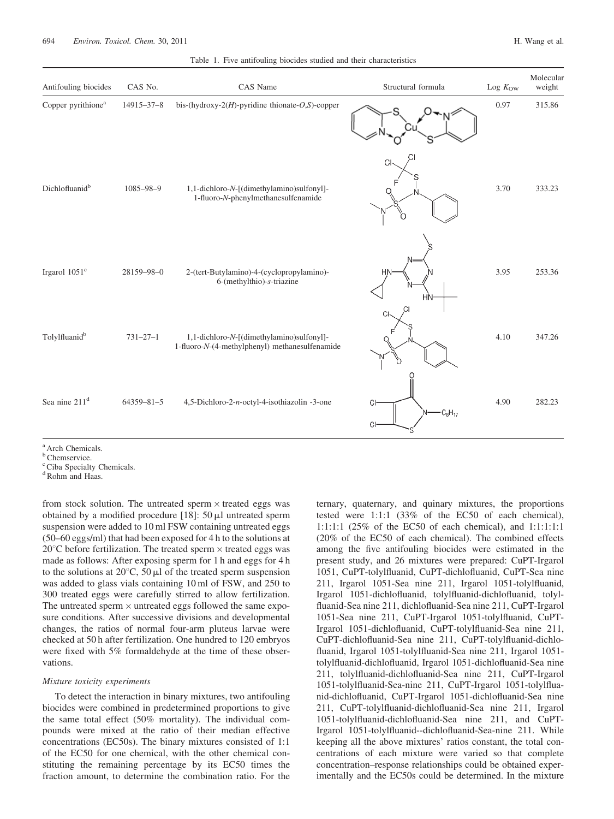|  | H. Wang et al. |  |  |
|--|----------------|--|--|
|--|----------------|--|--|

|  |  |  |  |  |  |  | Table 1. Five antifouling biocides studied and their characteristics |
|--|--|--|--|--|--|--|----------------------------------------------------------------------|
|--|--|--|--|--|--|--|----------------------------------------------------------------------|

| Antifouling biocides           | CAS No.        | CAS Name                                                                                    | Structural formula      | Log $K_{\rm OW}$ | Molecular<br>weight |
|--------------------------------|----------------|---------------------------------------------------------------------------------------------|-------------------------|------------------|---------------------|
| Copper pyrithione <sup>a</sup> | 14915-37-8     | bis-(hydroxy- $2(H)$ -pyridine thionate-O,S)-copper                                         |                         | 0.97             | 315.86              |
| Dichlofluanid <sup>b</sup>     | 1085-98-9      | 1,1-dichloro-N-[(dimethylamino)sulfonyl]-<br>1-fluoro-N-phenylmethanesulfenamide            | <b>CI</b>               | 3.70             | 333.23              |
| Irgarol 1051 <sup>c</sup>      | 28159-98-0     | 2-(tert-Butylamino)-4-(cyclopropylamino)-<br>6-(methylthio)-s-triazine                      | <b>HN</b><br><b>HN</b>  | 3.95             | 253.36              |
| Tolylfluanid <sup>b</sup>      | $731 - 27 - 1$ | 1,1-dichloro-N-[(dimethylamino)sulfonyl]-<br>1-fluoro-N-(4-methylphenyl) methanesulfenamide | СI                      | 4.10             | 347.26              |
| Sea nine 211 <sup>d</sup>      | 64359-81-5     | 4,5-Dichloro-2-n-octyl-4-isothiazolin -3-one                                                | CI<br>$C_8H_{17}$<br>СI | 4.90             | 282.23              |

<sup>a</sup> Arch Chemicals.

<sup>b</sup> Chemservice.

<sup>c</sup> Ciba Specialty Chemicals.

<sup>d</sup> Rohm and Haas.

from stock solution. The untreated sperm  $\times$  treated eggs was obtained by a modified procedure  $[18]$ : 50  $\mu$ l untreated sperm suspension were added to 10 ml FSW containing untreated eggs (50–60 eggs/ml) that had been exposed for 4 h to the solutions at  $20^{\circ}$ C before fertilization. The treated sperm  $\times$  treated eggs was made as follows: After exposing sperm for 1 h and eggs for 4 h to the solutions at  $20^{\circ}$ C, 50  $\mu$ l of the treated sperm suspension was added to glass vials containing 10 ml of FSW, and 250 to 300 treated eggs were carefully stirred to allow fertilization. The untreated sperm  $\times$  untreated eggs followed the same exposure conditions. After successive divisions and developmental changes, the ratios of normal four-arm pluteus larvae were checked at 50 h after fertilization. One hundred to 120 embryos were fixed with 5% formaldehyde at the time of these observations.

#### Mixture toxicity experiments

To detect the interaction in binary mixtures, two antifouling biocides were combined in predetermined proportions to give the same total effect (50% mortality). The individual compounds were mixed at the ratio of their median effective concentrations (EC50s). The binary mixtures consisted of 1:1 of the EC50 for one chemical, with the other chemical constituting the remaining percentage by its EC50 times the fraction amount, to determine the combination ratio. For the

ternary, quaternary, and quinary mixtures, the proportions tested were 1:1:1 (33% of the EC50 of each chemical), 1:1:1:1 (25% of the EC50 of each chemical), and 1:1:1:1:1 (20% of the EC50 of each chemical). The combined effects among the five antifouling biocides were estimated in the present study, and 26 mixtures were prepared: CuPT-Irgarol 1051, CuPT-tolylfluanid, CuPT-dichlofluanid, CuPT-Sea nine 211, Irgarol 1051-Sea nine 211, Irgarol 1051-tolylfluanid, Irgarol 1051-dichlofluanid, tolylfluanid-dichlofluanid, tolylfluanid-Sea nine 211, dichlofluanid-Sea nine 211, CuPT-Irgarol 1051-Sea nine 211, CuPT-Irgarol 1051-tolylfluanid, CuPT-Irgarol 1051-dichlofluanid, CuPT-tolylfluanid-Sea nine 211, CuPT-dichlofluanid-Sea nine 211, CuPT-tolylfluanid-dichlofluanid, Irgarol 1051-tolylfluanid-Sea nine 211, Irgarol 1051 tolylfluanid-dichlofluanid, Irgarol 1051-dichlofluanid-Sea nine 211, tolylfluanid-dichlofluanid-Sea nine 211, CuPT-Irgarol 1051-tolylfluanid-Sea-nine 211, CuPT-Irgarol 1051-tolylfluanid-dichlofluanid, CuPT-Irgarol 1051-dichlofluanid-Sea nine 211, CuPT-tolylfluanid-dichlofluanid-Sea nine 211, Irgarol 1051-tolylfluanid-dichlofluanid-Sea nine 211, and CuPT-Irgarol 1051-tolylfluanid--dichlofluanid-Sea-nine 211. While keeping all the above mixtures' ratios constant, the total concentrations of each mixture were varied so that complete concentration–response relationships could be obtained experimentally and the EC50s could be determined. In the mixture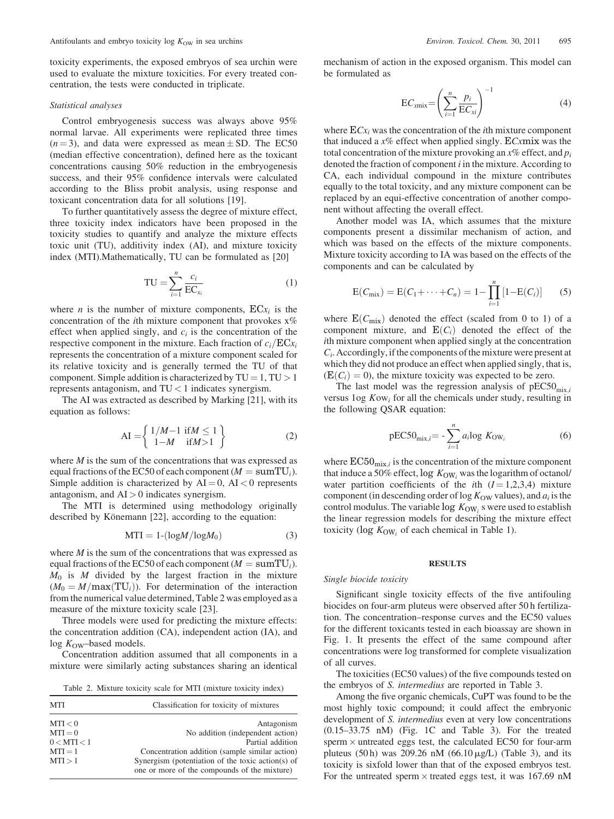toxicity experiments, the exposed embryos of sea urchin were used to evaluate the mixture toxicities. For every treated concentration, the tests were conducted in triplicate.

#### Statistical analyses

Control embryogenesis success was always above 95% normal larvae. All experiments were replicated three times  $(n = 3)$ , and data were expressed as mean  $\pm$  SD. The EC50 (median effective concentration), defined here as the toxicant concentrations causing 50% reduction in the embryogenesis success, and their 95% confidence intervals were calculated according to the Bliss probit analysis, using response and toxicant concentration data for all solutions [19].

To further quantitatively assess the degree of mixture effect, three toxicity index indicators have been proposed in the toxicity studies to quantify and analyze the mixture effects toxic unit (TU), additivity index (AI), and mixture toxicity index (MTI).Mathematically, TU can be formulated as [20]

$$
TU = \sum_{i=1}^{n} \frac{c_i}{EC_{x_i}} \tag{1}
$$

where *n* is the number of mixture components,  $ECx_i$  is the concentration of the *i*th mixture component that provokes  $x$ % effect when applied singly, and  $c_i$  is the concentration of the respective component in the mixture. Each fraction of  $c_i/ECx_i$ represents the concentration of a mixture component scaled for its relative toxicity and is generally termed the TU of that component. Simple addition is characterized by  $TU = 1$ ,  $TU > 1$ represents antagonism, and TU < 1 indicates synergism.

The AI was extracted as described by Marking [21], with its equation as follows:

$$
AI = \left\{ \begin{array}{l} 1/M - 1 \text{ if } M \le 1 \\ 1 - M \text{ if } M > 1 \end{array} \right\}
$$
 (2)

where  $M$  is the sum of the concentrations that was expressed as equal fractions of the EC50 of each component ( $M = \text{sumTU}_i$ ). Simple addition is characterized by  $AI = 0$ ,  $AI < 0$  represents antagonism, and  $AI > 0$  indicates synergism.

The MTI is determined using methodology originally described by Könemann [22], according to the equation:

$$
MTI = 1 - (\log M / \log M_0) \tag{3}
$$

where  $M$  is the sum of the concentrations that was expressed as equal fractions of the EC50 of each component ( $M = \text{sumTU}_i$ ).  $M_0$  is M divided by the largest fraction in the mixture  $(M_0 = M/\text{max}(\text{TU}_i))$ . For determination of the interaction from the numerical value determined, Table 2 was employed as a measure of the mixture toxicity scale [23].

Three models were used for predicting the mixture effects: the concentration addition (CA), independent action (IA), and  $log K<sub>OW</sub>$ -based models.

Concentration addition assumed that all components in a mixture were similarly acting substances sharing an identical

Table 2. Mixture toxicity scale for MTI (mixture toxicity index)

| <b>MTI</b>  | Classification for toxicity of mixtures                                                           |
|-------------|---------------------------------------------------------------------------------------------------|
| MTI < 0     | Antagonism                                                                                        |
| $MTI = 0$   | No addition (independent action)                                                                  |
| 0 < MTI < 1 | Partial addition                                                                                  |
| $MTI = 1$   | Concentration addition (sample similar action)                                                    |
| MTI > 1     | Synergism (potentiation of the toxic action(s) of<br>one or more of the compounds of the mixture) |

mechanism of action in the exposed organism. This model can be formulated as

$$
EC_{xmix} = \left(\sum_{i=1}^{n} \frac{p_i}{EC_{xi}}\right)^{-1}
$$
 (4)

where  $ECx_i$  was the concentration of the *i*th mixture component that induced a  $x\%$  effect when applied singly. ECxmix was the total concentration of the mixture provoking an  $x\%$  effect, and  $p_i$ denoted the fraction of component  $i$  in the mixture. According to CA, each individual compound in the mixture contributes equally to the total toxicity, and any mixture component can be replaced by an equi-effective concentration of another component without affecting the overall effect.

Another model was IA, which assumes that the mixture components present a dissimilar mechanism of action, and which was based on the effects of the mixture components. Mixture toxicity according to IA was based on the effects of the components and can be calculated by

$$
E(C_{\text{mix}}) = E(C_1 + \dots + C_n) = 1 - \prod_{i=1}^n [1 - E(C_i)] \tag{5}
$$

where  $E(C_{mix})$  denoted the effect (scaled from 0 to 1) of a component mixture, and  $E(C_i)$  denoted the effect of the ith mixture component when applied singly at the concentration  $C_i$ . Accordingly, if the components of the mixture were present at which they did not produce an effect when applied singly, that is,  $(E(C_i) = 0)$ , the mixture toxicity was expected to be zero.

The last model was the regression analysis of  $pEC50_{mix,i}$ versus  $log Kow_i$  for all the chemicals under study, resulting in the following QSAR equation:

$$
pEC50_{\text{mix},i} = -\sum_{i=1}^{n} a_i \log K_{\text{OW}_i}
$$
 (6)

where  $EC50_{mix,i}$  is the concentration of the mixture component that induce a 50% effect,  $\log K_{\text{OW}}$  was the logarithm of octanol/ water partition coefficients of the *i*th  $(I = 1,2,3,4)$  mixture component (in descending order of log  $K<sub>OW</sub>$  values), and  $a<sub>i</sub>$  is the control modulus. The variable  $\log K_{\text{OW}_i}$  s were used to establish the linear regression models for describing the mixture effect toxicity ( $log K_{OW}$ , of each chemical in Table 1).

## **RESULTS**

#### Single biocide toxicity

Significant single toxicity effects of the five antifouling biocides on four-arm pluteus were observed after 50 h fertilization. The concentration–response curves and the EC50 values for the different toxicants tested in each bioassay are shown in Fig. 1. It presents the effect of the same compound after concentrations were log transformed for complete visualization of all curves.

The toxicities (EC50 values) of the five compounds tested on the embryos of S. intermedius are reported in Table 3.

Among the five organic chemicals, CuPT was found to be the most highly toxic compound; it could affect the embryonic development of *S. intermedius* even at very low concentrations (0.15–33.75 nM) (Fig. 1C and Table 3). For the treated sperm  $\times$  untreated eggs test, the calculated EC50 for four-arm pluteus (50 h) was 209.26 nM (66.10  $\mu$ g/L) (Table 3), and its toxicity is sixfold lower than that of the exposed embryos test. For the untreated sperm  $\times$  treated eggs test, it was 167.69 nM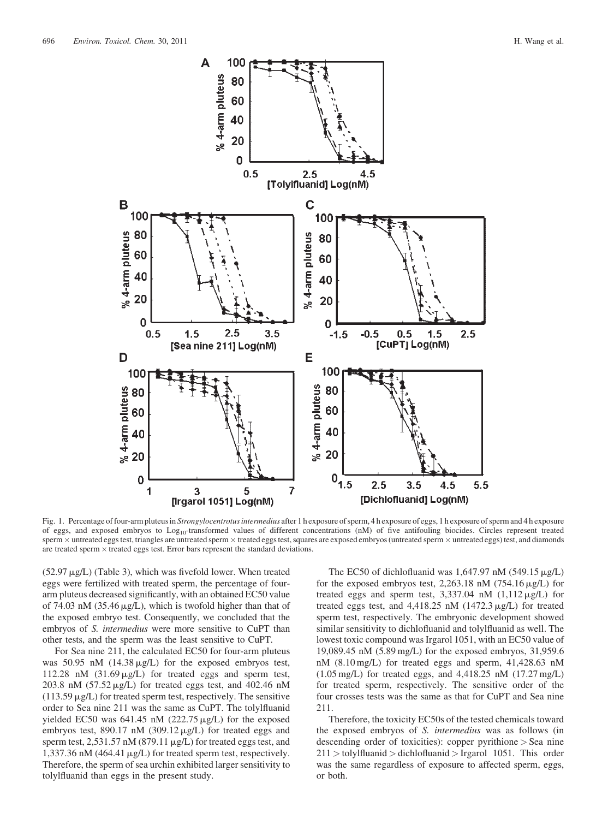

Fig. 1. Percentage of four-arm pluteus in Strongylocentrotus intermedius after 1 h exposure of sperm, 4 h exposure of eggs, 1 h exposure of sperm and 4 h exposure of eggs, and exposed embryos to Log<sub>10</sub>-transformed values of different concentrations (nM) of five antifouling biocides. Circles represent treated sperm  $\times$  untreated eggs test, triangles are untreated sperm  $\times$  treated eggs test, squares are exposed embryos (untreated sperm  $\times$  untreated eggs) test, and diamonds are treated sperm  $\times$  treated eggs test. Error bars represent the standard deviations.

 $(52.97 \,\mu g/L)$  (Table 3), which was fivefold lower. When treated eggs were fertilized with treated sperm, the percentage of fourarm pluteus decreased significantly, with an obtained EC50 value of 74.03 nM (35.46  $\mu$ g/L), which is twofold higher than that of the exposed embryo test. Consequently, we concluded that the embryos of *S. intermedius* were more sensitive to CuPT than other tests, and the sperm was the least sensitive to CuPT.

For Sea nine 211, the calculated EC50 for four-arm pluteus was 50.95 nM  $(14.38 \mu g/L)$  for the exposed embryos test, 112.28 nM  $(31.69 \mu g/L)$  for treated eggs and sperm test, 203.8 nM  $(57.52 \mu g/L)$  for treated eggs test, and 402.46 nM  $(113.59 \,\mu g/L)$  for treated sperm test, respectively. The sensitive order to Sea nine 211 was the same as CuPT. The tolylfluanid yielded EC50 was  $641.45$  nM (222.75  $\mu$ g/L) for the exposed embryos test, 890.17 nM  $(309.12 \,\mu g/L)$  for treated eggs and sperm test,  $2,531.57 \text{ nM}$  (879.11  $\mu$ g/L) for treated eggs test, and 1,337.36 nM (464.41  $\mu$ g/L) for treated sperm test, respectively. Therefore, the sperm of sea urchin exhibited larger sensitivity to tolylfluanid than eggs in the present study.

The EC50 of dichlofluanid was  $1,647.97$  nM (549.15  $\mu$ g/L) for the exposed embryos test, 2,263.18 nM  $(754.16 \,\mu g/L)$  for treated eggs and sperm test,  $3,337.04$  nM  $(1,112 \mu g/L)$  for treated eggs test, and  $4,418.25$  nM ( $1472.3 \mu g/L$ ) for treated sperm test, respectively. The embryonic development showed similar sensitivity to dichlofluanid and tolylfluanid as well. The lowest toxic compound was Irgarol 1051, with an EC50 value of 19,089.45 nM (5.89 mg/L) for the exposed embryos, 31,959.6 nM (8.10 mg/L) for treated eggs and sperm, 41,428.63 nM (1.05 mg/L) for treated eggs, and 4,418.25 nM (17.27 mg/L) for treated sperm, respectively. The sensitive order of the four crosses tests was the same as that for CuPT and Sea nine 211.

Therefore, the toxicity EC50s of the tested chemicals toward the exposed embryos of S. intermedius was as follows (in descending order of toxicities): copper pyrithione > Sea nine  $211 >$  tolylfluanid  $>$  dichlofluanid  $>$  Irgarol 1051. This order was the same regardless of exposure to affected sperm, eggs, or both.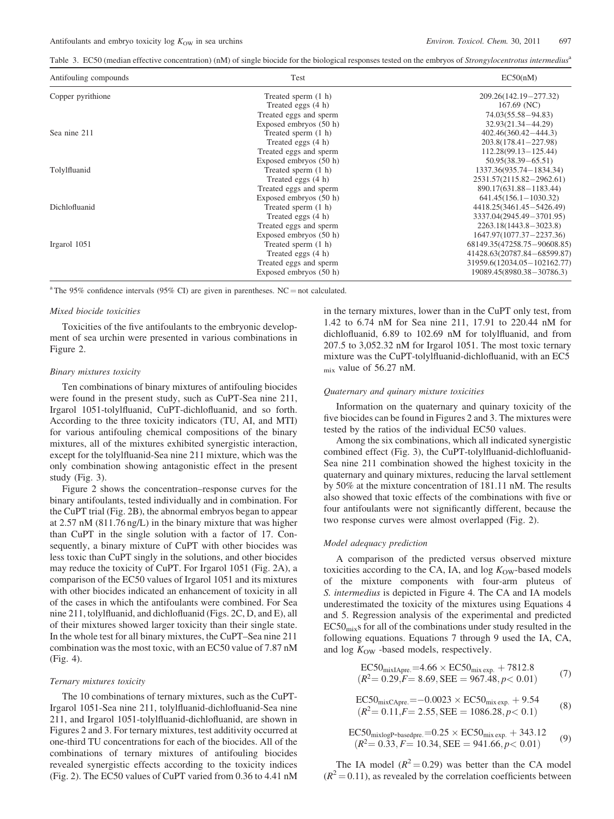Table 3. EC50 (median effective concentration) (nM) of single biocide for the biological responses tested on the embryos of *Strongylocentrotus intermedius*<sup>a</sup>

| Antifouling compounds | Test                   | EC50(nM)                    |
|-----------------------|------------------------|-----------------------------|
| Copper pyrithione     | Treated sperm (1 h)    | 209.26(142.19-277.32)       |
|                       | Treated eggs (4 h)     | $167.69$ (NC)               |
|                       | Treated eggs and sperm | 74.03(55.58 - 94.83)        |
|                       | Exposed embryos (50 h) | $32.93(21.34 - 44.29)$      |
| Sea nine 211          | Treated sperm (1 h)    | $402.46(360.42 - 444.3)$    |
|                       | Treated eggs (4 h)     | $203.8(178.41 - 227.98)$    |
|                       | Treated eggs and sperm | $112.28(99.13 - 125.44)$    |
|                       | Exposed embryos (50 h) | $50.95(38.39 - 65.51)$      |
| Tolylfluanid          | Treated sperm (1 h)    | 1337.36(935.74 - 1834.34)   |
|                       | Treated eggs (4 h)     | 2531.57(2115.82-2962.61)    |
|                       | Treated eggs and sperm | 890.17(631.88-1183.44)      |
|                       | Exposed embryos (50 h) | $641.45(156.1 - 1030.32)$   |
| Dichlofluanid         | Treated sperm (1 h)    | 4418.25(3461.45 - 5426.49)  |
|                       | Treated eggs (4 h)     | 3337.04(2945.49-3701.95)    |
|                       | Treated eggs and sperm | $2263.18(1443.8 - 3023.8)$  |
|                       | Exposed embryos (50 h) | 1647.97(1077.37-2237.36)    |
| Irgarol 1051          | Treated sperm (1 h)    | 68149.35(47258.75-90608.85) |
|                       | Treated eggs (4 h)     | 41428.63(20787.84-68599.87) |
|                       | Treated eggs and sperm | 31959.6(12034.05-102162.77) |
|                       | Exposed embryos (50 h) | 19089.45(8980.38–30786.3)   |

<sup>a</sup> The 95% confidence intervals (95% CI) are given in parentheses. NC = not calculated.

## Mixed biocide toxicities

Toxicities of the five antifoulants to the embryonic development of sea urchin were presented in various combinations in Figure 2.

#### Binary mixtures toxicity

Ten combinations of binary mixtures of antifouling biocides were found in the present study, such as CuPT-Sea nine 211, Irgarol 1051-tolylfluanid, CuPT-dichlofluanid, and so forth. According to the three toxicity indicators (TU, AI, and MTI) for various antifouling chemical compositions of the binary mixtures, all of the mixtures exhibited synergistic interaction, except for the tolylfluanid-Sea nine 211 mixture, which was the only combination showing antagonistic effect in the present study (Fig. 3).

Figure 2 shows the concentration–response curves for the binary antifoulants, tested individually and in combination. For the CuPT trial (Fig. 2B), the abnormal embryos began to appear at 2.57 nM (811.76 ng/L) in the binary mixture that was higher than CuPT in the single solution with a factor of 17. Consequently, a binary mixture of CuPT with other biocides was less toxic than CuPT singly in the solutions, and other biocides may reduce the toxicity of CuPT. For Irgarol 1051 (Fig. 2A), a comparison of the EC50 values of Irgarol 1051 and its mixtures with other biocides indicated an enhancement of toxicity in all of the cases in which the antifoulants were combined. For Sea nine 211, tolylfluanid, and dichlofluanid (Figs. 2C, D, and E), all of their mixtures showed larger toxicity than their single state. In the whole test for all binary mixtures, the CuPT–Sea nine 211 combination was the most toxic, with an EC50 value of 7.87 nM (Fig. 4).

#### Ternary mixtures toxicity

The 10 combinations of ternary mixtures, such as the CuPT-Irgarol 1051-Sea nine 211, tolylfluanid-dichlofluanid-Sea nine 211, and Irgarol 1051-tolylfluanid-dichlofluanid, are shown in Figures 2 and 3. For ternary mixtures, test additivity occurred at one-third TU concentrations for each of the biocides. All of the combinations of ternary mixtures of antifouling biocides revealed synergistic effects according to the toxicity indices (Fig. 2). The EC50 values of CuPT varied from 0.36 to 4.41 nM in the ternary mixtures, lower than in the CuPT only test, from 1.42 to 6.74 nM for Sea nine 211, 17.91 to 220.44 nM for dichlofluanid, 6.89 to 102.69 nM for tolylfluanid, and from 207.5 to 3,052.32 nM for Irgarol 1051. The most toxic ternary mixture was the CuPT-tolylfluanid-dichlofluanid, with an EC5 mix value of 56.27 nM.

#### Quaternary and quinary mixture toxicities

Information on the quaternary and quinary toxicity of the five biocides can be found in Figures 2 and 3. The mixtures were tested by the ratios of the individual EC50 values.

Among the six combinations, which all indicated synergistic combined effect (Fig. 3), the CuPT-tolylfluanid-dichlofluanid-Sea nine 211 combination showed the highest toxicity in the quaternary and quinary mixtures, reducing the larval settlement by 50% at the mixture concentration of 181.11 nM. The results also showed that toxic effects of the combinations with five or four antifoulants were not significantly different, because the two response curves were almost overlapped (Fig. 2).

#### Model adequacy prediction

A comparison of the predicted versus observed mixture toxicities according to the CA, IA, and  $log K<sub>OW</sub>$ -based models of the mixture components with four-arm pluteus of S. intermedius is depicted in Figure 4. The CA and IA models underestimated the toxicity of the mixtures using Equations 4 and 5. Regression analysis of the experimental and predicted  $EC50<sub>mix</sub>$ s for all of the combinations under study resulted in the following equations. Equations 7 through 9 used the IA, CA, and  $log K<sub>OW</sub>$  -based models, respectively.

$$
EC50mixIAPre = 4.66 \times EC50mix exp + 7812.8
$$
  
( $R^2$ = 0.29,  $F$  = 8.69,  $SEE$  = 967.48,  $p$  < 0.01) (7)

$$
EC50mixCAPre = -0.0023 \times EC50mixexp + 9.54
$$
  
( $R^2$  = 0.11,  $F$  = 2.55,  $SEE$  = 1086.28,  $p$  < 0.1) (8)

$$
EC50_{mixlogP-basedpre} = 0.25 \times EC50_{mixexp.} + 343.12
$$
  
(*R*<sup>2</sup>= 0.33, *F*= 10.34, *SEE* = 941.66, *p* < 0.01) (9)

The IA model  $(R^2 = 0.29)$  was better than the CA model  $(R<sup>2</sup> = 0.11)$ , as revealed by the correlation coefficients between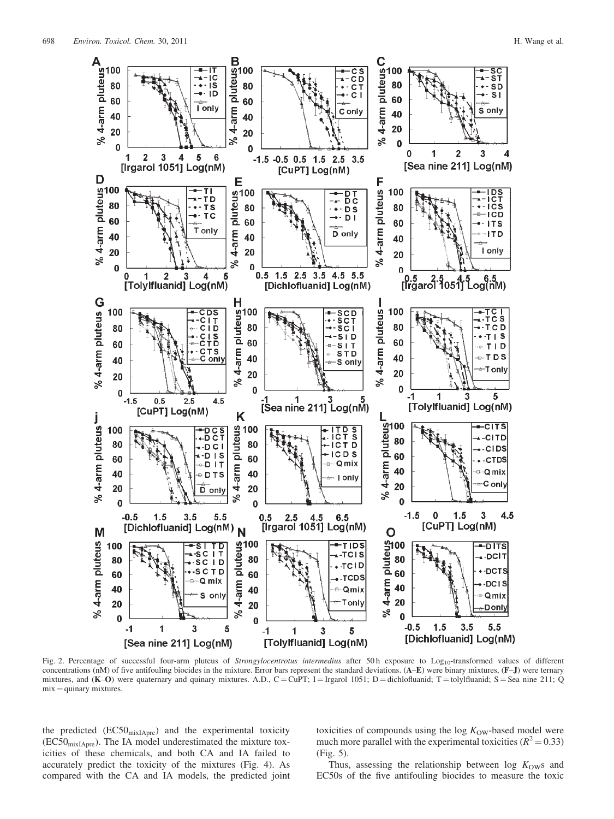

Fig. 2. Percentage of successful four-arm pluteus of Strongylocentrotus intermedius after 50h exposure to Log<sub>10</sub>-transformed values of different concentrations (nM) of five antifouling biocides in the mixture. Error bars represent the standard deviations. (A–E) were binary mixtures, (F–J) were ternary mixtures, and  $(K-O)$  were quaternary and quinary mixtures. A.D.,  $C = CuPT$ ; I = Irgarol 1051; D = dichlofluanid; T = tolylfluanid; S = Sea nine 211; Q  $mix =$  quinary mixtures.

the predicted  $(EC50<sub>mixIAPre</sub>)$  and the experimental toxicity  $(EC50<sub>mixIAPre</sub>)$ . The IA model underestimated the mixture toxicities of these chemicals, and both CA and IA failed to accurately predict the toxicity of the mixtures (Fig. 4). As compared with the CA and IA models, the predicted joint toxicities of compounds using the  $log K<sub>OW</sub>$ -based model were much more parallel with the experimental toxicities ( $R^2 = 0.33$ ) (Fig. 5).

Thus, assessing the relationship between  $log K<sub>OW</sub>$ s and EC50s of the five antifouling biocides to measure the toxic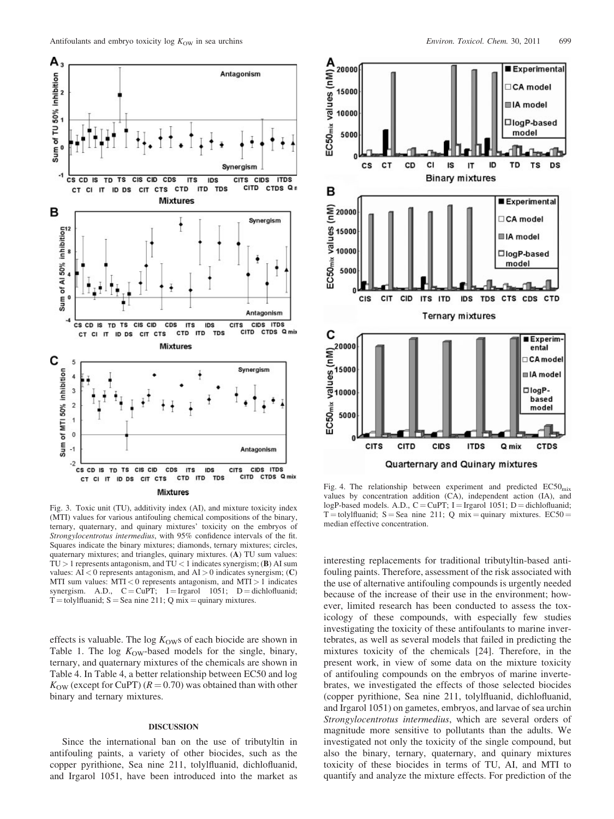

Fig. 3. Toxic unit (TU), additivity index (AI), and mixture toxicity index (MTI) values for various antifouling chemical compositions of the binary, ternary, quaternary, and quinary mixtures' toxicity on the embryos of Strongylocentrotus intermedius, with 95% confidence intervals of the fit. Squares indicate the binary mixtures; diamonds, ternary mixtures; circles, quaternary mixtures; and triangles, quinary mixtures. (A) TU sum values:  $TU > 1$  represents antagonism, and  $TU < 1$  indicates synergism; (B) AI sum values:  $AI < 0$  represents antagonism, and  $AI > 0$  indicates synergism; (C) MTI sum values:  $MTI < 0$  represents antagonism, and  $MTI > 1$  indicates synergism. A.D.,  $C = CuPT$ ; I = Irgarol 1051; D = dichlofluanid;  $T =$ tolylfluanid; S = Sea nine 211; Q mix = quinary mixtures.

effects is valuable. The log  $K<sub>OW</sub>$ s of each biocide are shown in Table 1. The log  $K<sub>OW</sub>$ -based models for the single, binary, ternary, and quaternary mixtures of the chemicals are shown in Table 4. In Table 4, a better relationship between EC50 and log  $K_{\text{OW}}$  (except for CuPT) ( $R = 0.70$ ) was obtained than with other binary and ternary mixtures.

## DISCUSSION

Since the international ban on the use of tributyltin in antifouling paints, a variety of other biocides, such as the copper pyrithione, Sea nine 211, tolylfluanid, dichlofluanid, and Irgarol 1051, have been introduced into the market as



Fig. 4. The relationship between experiment and predicted  $EC50<sub>mix</sub>$ values by concentration addition (CA), independent action (IA), and logP-based models. A.D.,  $C = \text{CuPT}$ ; I = Irgarol 1051; D = dichlofluanid; T = tolylfluanid; S = Sea nine 211; Q mix = quinary mixtures.  $EC50 =$ median effective concentration.

interesting replacements for traditional tributyltin-based antifouling paints. Therefore, assessment of the risk associated with the use of alternative antifouling compounds is urgently needed because of the increase of their use in the environment; however, limited research has been conducted to assess the toxicology of these compounds, with especially few studies investigating the toxicity of these antifoulants to marine invertebrates, as well as several models that failed in predicting the mixtures toxicity of the chemicals [24]. Therefore, in the present work, in view of some data on the mixture toxicity of antifouling compounds on the embryos of marine invertebrates, we investigated the effects of those selected biocides (copper pyrithione, Sea nine 211, tolylfluanid, dichlofluanid, and Irgarol 1051) on gametes, embryos, and larvae of sea urchin Strongylocentrotus intermedius, which are several orders of magnitude more sensitive to pollutants than the adults. We investigated not only the toxicity of the single compound, but also the binary, ternary, quaternary, and quinary mixtures toxicity of these biocides in terms of TU, AI, and MTI to quantify and analyze the mixture effects. For prediction of the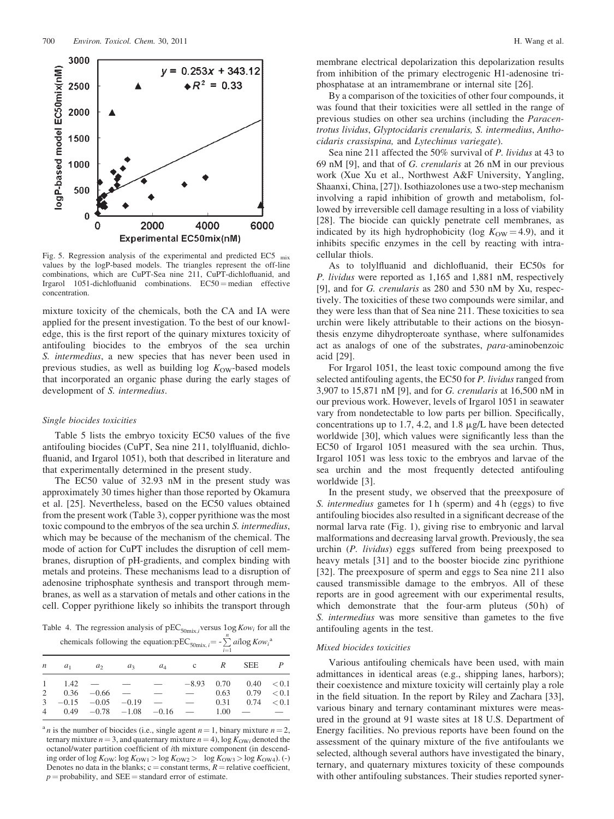

Fig. 5. Regression analysis of the experimental and predicted EC5 mix values by the logP-based models. The triangles represent the off-line combinations, which are CuPT-Sea nine 211, CuPT-dichlofluanid, and Irgarol  $1051$ -dichlofluanid combinations.  $EC50 =$  median effective concentration.

mixture toxicity of the chemicals, both the CA and IA were applied for the present investigation. To the best of our knowledge, this is the first report of the quinary mixtures toxicity of antifouling biocides to the embryos of the sea urchin S. intermedius, a new species that has never been used in previous studies, as well as building log  $K<sub>OW</sub>$ -based models that incorporated an organic phase during the early stages of development of S. intermedius.

#### Single biocides toxicities

Table 5 lists the embryo toxicity EC50 values of the five antifouling biocides (CuPT, Sea nine 211, tolylfluanid, dichlofluanid, and Irgarol 1051), both that described in literature and that experimentally determined in the present study.

The EC50 value of 32.93 nM in the present study was approximately 30 times higher than those reported by Okamura et al. [25]. Nevertheless, based on the EC50 values obtained from the present work (Table 3), copper pyrithione was the most toxic compound to the embryos of the sea urchin S. intermedius, which may be because of the mechanism of the chemical. The mode of action for CuPT includes the disruption of cell membranes, disruption of pH-gradients, and complex binding with metals and proteins. These mechanisms lead to a disruption of adenosine triphosphate synthesis and transport through membranes, as well as a starvation of metals and other cations in the cell. Copper pyrithione likely so inhibits the transport through

Table 4. The regression analysis of  $pEC_{50mix,i}$  versus  $log Kow_i$  for all the chemicals following the equation:  $\overline{pEC}_{50\text{mix}, i} = -\sum_{n=1}^{n} \overline{a}i \log Kow_i^a$ 

|  |  | $\sum_{i=1}^{\infty}$ $\sum_{i=1}^{\infty}$ $\sum_{i=1}^{\infty}$                    |  |                         |  |
|--|--|--------------------------------------------------------------------------------------|--|-------------------------|--|
|  |  | $n \quad a_1 \quad a_2 \quad a_3 \quad a_4 \quad c \quad R \quad \text{SEE} \quad P$ |  |                         |  |
|  |  | $1 \t1.42 \t— \t— \t—$                                                               |  | $-8.93$ 0.70 0.40 < 0.1 |  |
|  |  | 2  0.36 $-0.66$ $  -$ 0.63  0.79 $< 0.1$                                             |  |                         |  |
|  |  | $3 -0.15 -0.05 -0.19 - 0.31 0.74 < 0.1$                                              |  |                         |  |
|  |  | 4 $0.49$ $-0.78$ $-1.08$ $-0.16$ $ 1.00$ $ -$                                        |  |                         |  |

<sup>a</sup> n is the number of biocides (i.e., single agent  $n = 1$ , binary mixture  $n = 2$ , ternary mixture  $n = 3$ , and quaternary mixture  $n = 4$ ), log  $K_{\text{OWi}}$  denoted the octanol/water partition coefficient of ith mixture component (in descending order of log  $K_{\text{OW}}$ : log  $K_{\text{OW1}} > \log K_{\text{OW2}} > \log K_{\text{OW3}} > \log K_{\text{OW4}}$ ). (-) Denotes no data in the blanks;  $c = constant$  terms,  $R =$  relative coefficient,  $p =$  probability, and SEE = standard error of estimate.

membrane electrical depolarization this depolarization results from inhibition of the primary electrogenic H1-adenosine triphosphatase at an intramembrane or internal site [26].

By a comparison of the toxicities of other four compounds, it was found that their toxicities were all settled in the range of previous studies on other sea urchins (including the Paracentrotus lividus, Glyptocidaris crenularis, S. intermedius, Anthocidaris crassispina, and Lytechinus variegate).

Sea nine 211 affected the 50% survival of P. lividus at 43 to 69 nM [9], and that of G. crenularis at 26 nM in our previous work (Xue Xu et al., Northwest A&F University, Yangling, Shaanxi, China, [27]). Isothiazolones use a two-step mechanism involving a rapid inhibition of growth and metabolism, followed by irreversible cell damage resulting in a loss of viability [28]. The biocide can quickly penetrate cell membranes, as indicated by its high hydrophobicity (log  $K<sub>OW</sub> = 4.9$ ), and it inhibits specific enzymes in the cell by reacting with intracellular thiols.

As to tolylfluanid and dichlofluanid, their EC50s for P. lividus were reported as 1,165 and 1,881 nM, respectively [9], and for G. crenularis as 280 and 530 nM by Xu, respectively. The toxicities of these two compounds were similar, and they were less than that of Sea nine 211. These toxicities to sea urchin were likely attributable to their actions on the biosynthesis enzyme dihydropteroate synthase, where sulfonamides act as analogs of one of the substrates, para-aminobenzoic acid [29].

For Irgarol 1051, the least toxic compound among the five selected antifouling agents, the EC50 for P. lividus ranged from 3,907 to 15,871 nM [9], and for G. crenularis at 16,500 nM in our previous work. However, levels of Irgarol 1051 in seawater vary from nondetectable to low parts per billion. Specifically, concentrations up to 1.7, 4.2, and 1.8  $\mu$ g/L have been detected worldwide [30], which values were significantly less than the EC50 of Irgarol 1051 measured with the sea urchin. Thus, Irgarol 1051 was less toxic to the embryos and larvae of the sea urchin and the most frequently detected antifouling worldwide [3].

In the present study, we observed that the preexposure of S. intermedius gametes for 1 h (sperm) and 4 h (eggs) to five antifouling biocides also resulted in a significant decrease of the normal larva rate (Fig. 1), giving rise to embryonic and larval malformations and decreasing larval growth. Previously, the sea urchin (P. lividus) eggs suffered from being preexposed to heavy metals [31] and to the booster biocide zinc pyrithione [32]. The preexposure of sperm and eggs to Sea nine 211 also caused transmissible damage to the embryos. All of these reports are in good agreement with our experimental results, which demonstrate that the four-arm pluteus (50 h) of S. intermedius was more sensitive than gametes to the five antifouling agents in the test.

## Mixed biocides toxicities

Various antifouling chemicals have been used, with main admittances in identical areas (e.g., shipping lanes, harbors); their coexistence and mixture toxicity will certainly play a role in the field situation. In the report by Riley and Zachara [33], various binary and ternary contaminant mixtures were measured in the ground at 91 waste sites at 18 U.S. Department of Energy facilities. No previous reports have been found on the assessment of the quinary mixture of the five antifoulants we selected, although several authors have investigated the binary, ternary, and quaternary mixtures toxicity of these compounds with other antifouling substances. Their studies reported syner-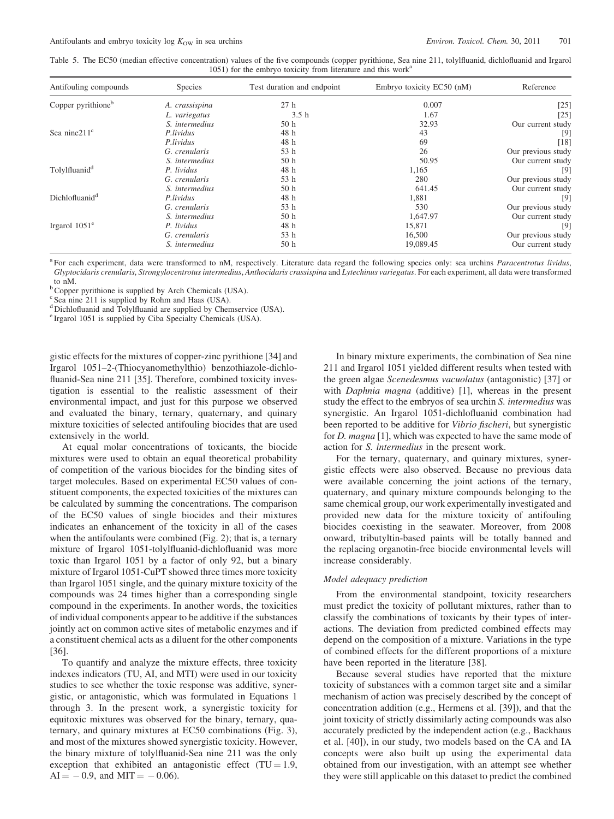Table 5. The EC50 (median effective concentration) values of the five compounds (copper pyrithione, Sea nine 211, tolylfluanid, dichlofluanid and Irgarol 1051) for the embryo toxicity from literature and this work<sup>a</sup>

| Antifouling compounds          | <b>Species</b> | Test duration and endpoint | Embryo toxicity EC50 (nM) | Reference                    |
|--------------------------------|----------------|----------------------------|---------------------------|------------------------------|
| Copper pyrithione <sup>b</sup> | A. crassispina | 27h                        | 0.007                     | $\left\lceil 25\right\rceil$ |
|                                | L. variegatus  | 3.5 <sub>h</sub>           | 1.67                      | $\lceil 25 \rceil$           |
|                                | S. intermedius | 50 <sub>h</sub>            | 32.93                     | Our current study            |
| Sea nine $211^{\circ}$         | P.lividus      | 48 h                       | 43                        | [9]                          |
|                                | P.lividus      | 48 h                       | 69                        | [18]                         |
|                                | G. crenularis  | 53 h                       | 26                        | Our previous study           |
|                                | S. intermedius | 50 <sub>h</sub>            | 50.95                     | Our current study            |
| Tolylfluanid <sup>d</sup>      | P. lividus     | 48 h                       | 1,165                     | 9                            |
|                                | G. crenularis  | 53 h                       | 280                       | Our previous study           |
|                                | S. intermedius | 50 <sub>h</sub>            | 641.45                    | Our current study            |
| Dichlofluanid <sup>d</sup>     | P.lividus      | 48 h                       | 1,881                     | 9                            |
|                                | G. crenularis  | 53 h                       | 530                       | Our previous study           |
|                                | S. intermedius | 50 <sub>h</sub>            | 1,647.97                  | Our current study            |
| Irgarol $1051^{\circ}$         | P. lividus     | 48 h                       | 15,871                    | 9                            |
|                                | G. crenularis  | 53 h                       | 16,500                    | Our previous study           |
|                                | S. intermedius | 50 <sub>h</sub>            | 19,089.45                 | Our current study            |

<sup>a</sup> For each experiment, data were transformed to nM, respectively. Literature data regard the following species only: sea urchins Paracentrotus lividus, Glyptocidaris crenularis, Strongylocentrotus intermedius, Anthocidaris crassispina and Lytechinus variegatus. For each experiment, all data were transformed to nM.

<sup>b</sup> Copper pyrithione is supplied by Arch Chemicals (USA).

<sup>c</sup> Sea nine 211 is supplied by Rohm and Haas (USA).

<sup>d</sup> Dichlofluanid and Tolylfluanid are supplied by Chemservice (USA).

<sup>e</sup> Irgarol 1051 is supplied by Ciba Specialty Chemicals (USA).

gistic effects for the mixtures of copper-zinc pyrithione [34] and Irgarol 1051–2-(Thiocyanomethylthio) benzothiazole-dichlofluanid-Sea nine 211 [35]. Therefore, combined toxicity investigation is essential to the realistic assessment of their environmental impact, and just for this purpose we observed and evaluated the binary, ternary, quaternary, and quinary mixture toxicities of selected antifouling biocides that are used extensively in the world.

At equal molar concentrations of toxicants, the biocide mixtures were used to obtain an equal theoretical probability of competition of the various biocides for the binding sites of target molecules. Based on experimental EC50 values of constituent components, the expected toxicities of the mixtures can be calculated by summing the concentrations. The comparison of the EC50 values of single biocides and their mixtures indicates an enhancement of the toxicity in all of the cases when the antifoulants were combined (Fig. 2); that is, a ternary mixture of Irgarol 1051-tolylfluanid-dichlofluanid was more toxic than Irgarol 1051 by a factor of only 92, but a binary mixture of Irgarol 1051-CuPT showed three times more toxicity than Irgarol 1051 single, and the quinary mixture toxicity of the compounds was 24 times higher than a corresponding single compound in the experiments. In another words, the toxicities of individual components appear to be additive if the substances jointly act on common active sites of metabolic enzymes and if a constituent chemical acts as a diluent for the other components [36].

To quantify and analyze the mixture effects, three toxicity indexes indicators (TU, AI, and MTI) were used in our toxicity studies to see whether the toxic response was additive, synergistic, or antagonistic, which was formulated in Equations 1 through 3. In the present work, a synergistic toxicity for equitoxic mixtures was observed for the binary, ternary, quaternary, and quinary mixtures at EC50 combinations (Fig. 3), and most of the mixtures showed synergistic toxicity. However, the binary mixture of tolylfluanid-Sea nine 211 was the only exception that exhibited an antagonistic effect  $(TU = 1.9$ ,  $AI = -0.9$ , and  $MIT = -0.06$ ).

In binary mixture experiments, the combination of Sea nine 211 and Irgarol 1051 yielded different results when tested with the green algae Scenedesmus vacuolatus (antagonistic) [37] or with *Daphnia magna* (additive) [1], whereas in the present study the effect to the embryos of sea urchin S. intermedius was synergistic. An Irgarol 1051-dichlofluanid combination had been reported to be additive for Vibrio fischeri, but synergistic for *D. magna* [1], which was expected to have the same mode of action for S. intermedius in the present work.

For the ternary, quaternary, and quinary mixtures, synergistic effects were also observed. Because no previous data were available concerning the joint actions of the ternary, quaternary, and quinary mixture compounds belonging to the same chemical group, our work experimentally investigated and provided new data for the mixture toxicity of antifouling biocides coexisting in the seawater. Moreover, from 2008 onward, tributyltin-based paints will be totally banned and the replacing organotin-free biocide environmental levels will increase considerably.

#### Model adequacy prediction

From the environmental standpoint, toxicity researchers must predict the toxicity of pollutant mixtures, rather than to classify the combinations of toxicants by their types of interactions. The deviation from predicted combined effects may depend on the composition of a mixture. Variations in the type of combined effects for the different proportions of a mixture have been reported in the literature [38].

Because several studies have reported that the mixture toxicity of substances with a common target site and a similar mechanism of action was precisely described by the concept of concentration addition (e.g., Hermens et al. [39]), and that the joint toxicity of strictly dissimilarly acting compounds was also accurately predicted by the independent action (e.g., Backhaus et al. [40]), in our study, two models based on the CA and IA concepts were also built up using the experimental data obtained from our investigation, with an attempt see whether they were still applicable on this dataset to predict the combined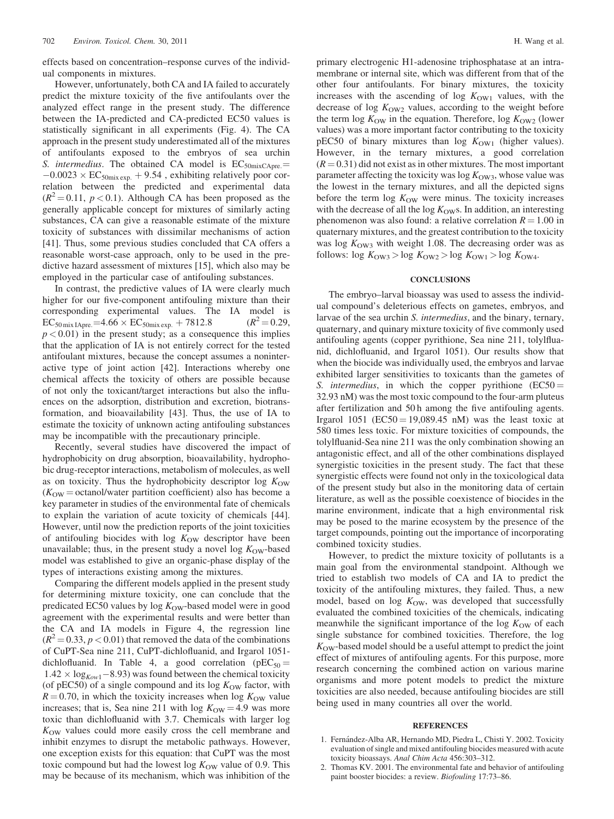effects based on concentration–response curves of the individual components in mixtures.

However, unfortunately, both CA and IA failed to accurately predict the mixture toxicity of the five antifoulants over the analyzed effect range in the present study. The difference between the IA-predicted and CA-predicted EC50 values is statistically significant in all experiments (Fig. 4). The CA approach in the present study underestimated all of the mixtures of antifoulants exposed to the embryos of sea urchin S. intermedius. The obtained CA model is  $EC_{50mixCAPre} =$  $-0.0023 \times EC_{50mix\ exp.} + 9.54$ , exhibiting relatively poor correlation between the predicted and experimental data  $(R^2 = 0.11, p < 0.1)$ . Although CA has been proposed as the generally applicable concept for mixtures of similarly acting substances, CA can give a reasonable estimate of the mixture toxicity of substances with dissimilar mechanisms of action [41]. Thus, some previous studies concluded that CA offers a reasonable worst-case approach, only to be used in the predictive hazard assessment of mixtures [15], which also may be employed in the particular case of antifouling substances.

In contrast, the predictive values of IA were clearly much higher for our five-component antifouling mixture than their corresponding experimental values. The IA model is  $EC_{50\,\text{mix} \, \text{IApre}} = 4.66 \times EC_{50\,\text{mix} \, \text{exp.}} + 7812.8$  ( $R^2 = 0.29$ ,  $p < 0.01$ ) in the present study; as a consequence this implies that the application of IA is not entirely correct for the tested antifoulant mixtures, because the concept assumes a noninteractive type of joint action [42]. Interactions whereby one chemical affects the toxicity of others are possible because of not only the toxicant/target interactions but also the influences on the adsorption, distribution and excretion, biotransformation, and bioavailability [43]. Thus, the use of IA to estimate the toxicity of unknown acting antifouling substances may be incompatible with the precautionary principle.

Recently, several studies have discovered the impact of hydrophobicity on drug absorption, bioavailability, hydrophobic drug-receptor interactions, metabolism of molecules, as well as on toxicity. Thus the hydrophobicity descriptor  $log K<sub>OW</sub>$  $(K<sub>OW</sub> = octanol/water partition coefficient)$  also has become a key parameter in studies of the environmental fate of chemicals to explain the variation of acute toxicity of chemicals [44]. However, until now the prediction reports of the joint toxicities of antifouling biocides with log  $K<sub>OW</sub>$  descriptor have been unavailable; thus, in the present study a novel log  $K_{\text{OW}}$ -based model was established to give an organic-phase display of the types of interactions existing among the mixtures.

Comparing the different models applied in the present study for determining mixture toxicity, one can conclude that the predicated EC50 values by  $log K<sub>OW</sub>$ -based model were in good agreement with the experimental results and were better than the CA and IA models in Figure 4, the regression line  $(R^2 = 0.33, p < 0.01)$  that removed the data of the combinations of CuPT-Sea nine 211, CuPT-dichlofluanid, and Irgarol 1051 dichlofluanid. In Table 4, a good correlation ( $pEC_{50} =$  $1.42 \times \log_{Kow1} - 8.93$ ) was found between the chemical toxicity (of pEC50) of a single compound and its log  $K_{\text{OW}}$  factor, with  $R = 0.70$ , in which the toxicity increases when log  $K_{\text{OW}}$  value increases; that is, Sea nine 211 with log  $K_{\text{OW}} = 4.9$  was more toxic than dichlofluanid with 3.7. Chemicals with larger log  $K_{\text{OW}}$  values could more easily cross the cell membrane and inhibit enzymes to disrupt the metabolic pathways. However, one exception exists for this equation: that CuPT was the most toxic compound but had the lowest log  $K<sub>OW</sub>$  value of 0.9. This may be because of its mechanism, which was inhibition of the

primary electrogenic H1-adenosine triphosphatase at an intramembrane or internal site, which was different from that of the other four antifoulants. For binary mixtures, the toxicity increases with the ascending of log  $K_{\text{OW1}}$  values, with the decrease of log  $K<sub>OW2</sub>$  values, according to the weight before the term log  $K<sub>OW</sub>$  in the equation. Therefore, log  $K<sub>OW2</sub>$  (lower values) was a more important factor contributing to the toxicity pEC50 of binary mixtures than  $log K_{OW1}$  (higher values). However, in the ternary mixtures, a good correlation  $(R = 0.31)$  did not exist as in other mixtures. The most important parameter affecting the toxicity was  $log K<sub>OW3</sub>$ , whose value was the lowest in the ternary mixtures, and all the depicted signs before the term  $\log K_{\text{OW}}$  were minus. The toxicity increases with the decrease of all the log  $K<sub>OW</sub>$ s. In addition, an interesting phenomenon was also found: a relative correlation  $R = 1.00$  in quaternary mixtures, and the greatest contribution to the toxicity was log  $K<sub>OW3</sub>$  with weight 1.08. The decreasing order was as follows: log  $K_{\text{OW3}} > \log K_{\text{OW2}} > \log K_{\text{OW1}} > \log K_{\text{OW4}}.$ 

## **CONCLUSIONS**

The embryo–larval bioassay was used to assess the individual compound's deleterious effects on gametes, embryos, and larvae of the sea urchin S. intermedius, and the binary, ternary, quaternary, and quinary mixture toxicity of five commonly used antifouling agents (copper pyrithione, Sea nine 211, tolylfluanid, dichlofluanid, and Irgarol 1051). Our results show that when the biocide was individually used, the embryos and larvae exhibited larger sensitivities to toxicants than the gametes of S. intermedius, in which the copper pyrithione  $(EC50 =$ 32.93 nM) was the most toxic compound to the four-arm pluteus after fertilization and 50 h among the five antifouling agents. Irgarol 1051 ( $EC50 = 19,089.45$  nM) was the least toxic at 580 times less toxic. For mixture toxicities of compounds, the tolylfluanid-Sea nine 211 was the only combination showing an antagonistic effect, and all of the other combinations displayed synergistic toxicities in the present study. The fact that these synergistic effects were found not only in the toxicological data of the present study but also in the monitoring data of certain literature, as well as the possible coexistence of biocides in the marine environment, indicate that a high environmental risk may be posed to the marine ecosystem by the presence of the target compounds, pointing out the importance of incorporating combined toxicity studies.

However, to predict the mixture toxicity of pollutants is a main goal from the environmental standpoint. Although we tried to establish two models of CA and IA to predict the toxicity of the antifouling mixtures, they failed. Thus, a new model, based on  $log K<sub>OW</sub>$ , was developed that successfully evaluated the combined toxicities of the chemicals, indicating meanwhile the significant importance of the log  $K<sub>OW</sub>$  of each single substance for combined toxicities. Therefore, the log  $K<sub>OW</sub>$ -based model should be a useful attempt to predict the joint effect of mixtures of antifouling agents. For this purpose, more research concerning the combined action on various marine organisms and more potent models to predict the mixture toxicities are also needed, because antifouling biocides are still being used in many countries all over the world.

#### **REFERENCES**

- 1. Fernández-Alba AR, Hernando MD, Piedra L, Chisti Y. 2002. Toxicity evaluation of single and mixed antifouling biocides measured with acute toxicity bioassays. Anal Chim Acta 456:303-312.
- 2. Thomas KV. 2001. The environmental fate and behavior of antifouling paint booster biocides: a review. Biofouling 17:73-86.